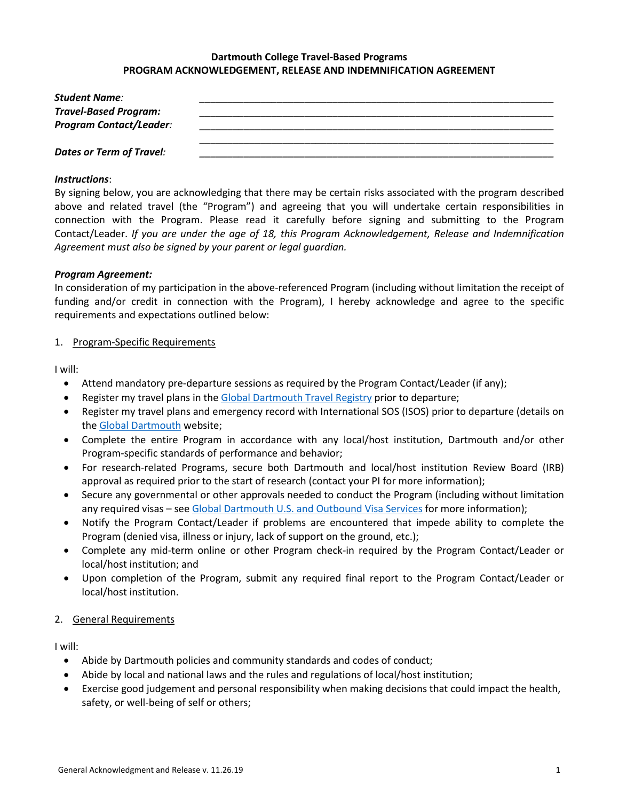## **Dartmouth College Travel-Based Programs PROGRAM ACKNOWLEDGEMENT, RELEASE AND INDEMNIFICATION AGREEMENT**

| Student Name:                  |  |
|--------------------------------|--|
| <b>Travel-Based Program:</b>   |  |
| <b>Program Contact/Leader:</b> |  |
|                                |  |
| Dates or Term of Travel:       |  |

#### *Instructions*:

By signing below, you are acknowledging that there may be certain risks associated with the program described above and related travel (the "Program") and agreeing that you will undertake certain responsibilities in connection with the Program. Please read it carefully before signing and submitting to the Program Contact/Leader. *If you are under the age of 18, this Program Acknowledgement, Release and Indemnification Agreement must also be signed by your parent or legal guardian.*

#### *Program Agreement:*

In consideration of my participation in the above-referenced Program (including without limitation the receipt of funding and/or credit in connection with the Program), I hereby acknowledge and agree to the specific requirements and expectations outlined below:

#### 1. Program-Specific Requirements

I will:

- Attend mandatory pre-departure sessions as required by the Program Contact/Leader (if any);
- Register my travel plans in the Global [Dartmouth Travel Registry](https://global.dartmouth.edu/travel-resources/travel-registry) prior to departure;
- Register my travel plans and emergency record with International SOS (ISOS) prior to departure (details on the [Global Dartmouth](https://global.dartmouth.edu/travel-registry-waivers-resources) website;
- Complete the entire Program in accordance with any local/host institution, Dartmouth and/or other Program-specific standards of performance and behavior;
- For research-related Programs, secure both Dartmouth and local/host institution Review Board (IRB) approval as required prior to the start of research (contact your PI for more information);
- Secure any governmental or other approvals needed to conduct the Program (including without limitation any required visas – see [Global Dartmouth U.S. and Outbound Visa Services](https://global.dartmouth.edu/travel-resources/us-and-outbound-visa-services) for more information);
- Notify the Program Contact/Leader if problems are encountered that impede ability to complete the Program (denied visa, illness or injury, lack of support on the ground, etc.);
- Complete any mid-term online or other Program check-in required by the Program Contact/Leader or local/host institution; and
- Upon completion of the Program, submit any required final report to the Program Contact/Leader or local/host institution.

## 2. General Requirements

I will:

- Abide by Dartmouth policies and community standards and codes of conduct;
- Abide by local and national laws and the rules and regulations of local/host institution;
- Exercise good judgement and personal responsibility when making decisions that could impact the health, safety, or well-being of self or others;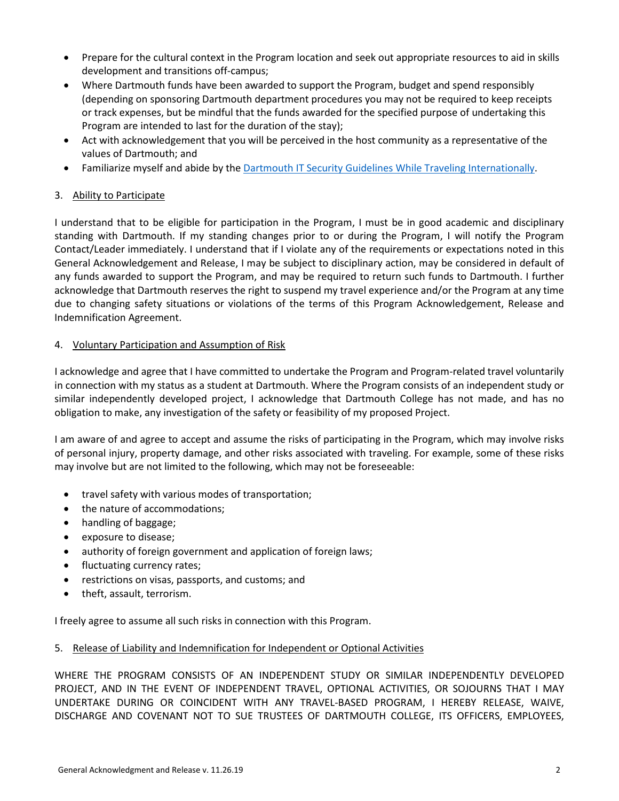- Prepare for the cultural context in the Program location and seek out appropriate resources to aid in skills development and transitions off-campus;
- Where Dartmouth funds have been awarded to support the Program, budget and spend responsibly (depending on sponsoring Dartmouth department procedures you may not be required to keep receipts or track expenses, but be mindful that the funds awarded for the specified purpose of undertaking this Program are intended to last for the duration of the stay);
- Act with acknowledgement that you will be perceived in the host community as a representative of the values of Dartmouth; and
- Familiarize myself and abide by the [Dartmouth IT Security Guidelines While Traveling Internationally.](https://services.dartmouth.edu/TDClient/1806/Portal/KB/ArticleDet?ID=67168)

# 3. Ability to Participate

I understand that to be eligible for participation in the Program, I must be in good academic and disciplinary standing with Dartmouth. If my standing changes prior to or during the Program, I will notify the Program Contact/Leader immediately. I understand that if I violate any of the requirements or expectations noted in this General Acknowledgement and Release, I may be subject to disciplinary action, may be considered in default of any funds awarded to support the Program, and may be required to return such funds to Dartmouth. I further acknowledge that Dartmouth reserves the right to suspend my travel experience and/or the Program at any time due to changing safety situations or violations of the terms of this Program Acknowledgement, Release and Indemnification Agreement.

## 4. Voluntary Participation and Assumption of Risk

I acknowledge and agree that I have committed to undertake the Program and Program-related travel voluntarily in connection with my status as a student at Dartmouth. Where the Program consists of an independent study or similar independently developed project, I acknowledge that Dartmouth College has not made, and has no obligation to make, any investigation of the safety or feasibility of my proposed Project.

I am aware of and agree to accept and assume the risks of participating in the Program, which may involve risks of personal injury, property damage, and other risks associated with traveling. For example, some of these risks may involve but are not limited to the following, which may not be foreseeable:

- travel safety with various modes of transportation;
- the nature of accommodations;
- handling of baggage;
- exposure to disease;
- authority of foreign government and application of foreign laws;
- fluctuating currency rates;
- restrictions on visas, passports, and customs; and
- theft, assault, terrorism.

I freely agree to assume all such risks in connection with this Program.

## 5. Release of Liability and Indemnification for Independent or Optional Activities

WHERE THE PROGRAM CONSISTS OF AN INDEPENDENT STUDY OR SIMILAR INDEPENDENTLY DEVELOPED PROJECT, AND IN THE EVENT OF INDEPENDENT TRAVEL, OPTIONAL ACTIVITIES, OR SOJOURNS THAT I MAY UNDERTAKE DURING OR COINCIDENT WITH ANY TRAVEL-BASED PROGRAM, I HEREBY RELEASE, WAIVE, DISCHARGE AND COVENANT NOT TO SUE TRUSTEES OF DARTMOUTH COLLEGE, ITS OFFICERS, EMPLOYEES,